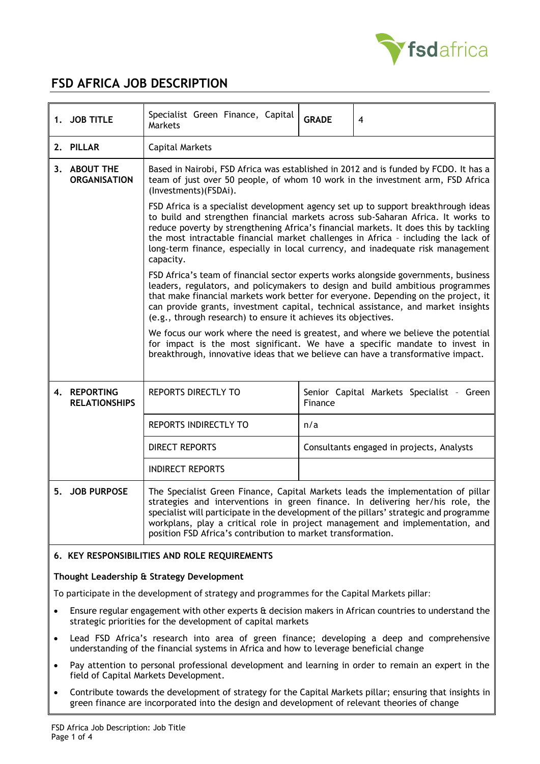

# **FSD AFRICA JOB DESCRIPTION**

| 1. JOB TITLE                         | Specialist Green Finance, Capital<br>Markets                                                                                                                                                                                                                                                                                                                                                                                                         | <b>GRADE</b> | 4                                         |  |  |
|--------------------------------------|------------------------------------------------------------------------------------------------------------------------------------------------------------------------------------------------------------------------------------------------------------------------------------------------------------------------------------------------------------------------------------------------------------------------------------------------------|--------------|-------------------------------------------|--|--|
| 2. PILLAR                            | <b>Capital Markets</b>                                                                                                                                                                                                                                                                                                                                                                                                                               |              |                                           |  |  |
| 3. ABOUT THE<br><b>ORGANISATION</b>  | Based in Nairobi, FSD Africa was established in 2012 and is funded by FCDO. It has a<br>team of just over 50 people, of whom 10 work in the investment arm, FSD Africa<br>(Investments)(FSDAi).                                                                                                                                                                                                                                                      |              |                                           |  |  |
|                                      | FSD Africa is a specialist development agency set up to support breakthrough ideas<br>to build and strengthen financial markets across sub-Saharan Africa. It works to<br>reduce poverty by strengthening Africa's financial markets. It does this by tackling<br>the most intractable financial market challenges in Africa - including the lack of<br>long-term finance, especially in local currency, and inadequate risk management<br>capacity. |              |                                           |  |  |
|                                      | FSD Africa's team of financial sector experts works alongside governments, business<br>leaders, regulators, and policymakers to design and build ambitious programmes<br>that make financial markets work better for everyone. Depending on the project, it<br>can provide grants, investment capital, technical assistance, and market insights<br>(e.g., through research) to ensure it achieves its objectives.                                   |              |                                           |  |  |
|                                      | We focus our work where the need is greatest, and where we believe the potential<br>for impact is the most significant. We have a specific mandate to invest in<br>breakthrough, innovative ideas that we believe can have a transformative impact.                                                                                                                                                                                                  |              |                                           |  |  |
| 4. REPORTING<br><b>RELATIONSHIPS</b> | REPORTS DIRECTLY TO                                                                                                                                                                                                                                                                                                                                                                                                                                  | Finance      | Senior Capital Markets Specialist - Green |  |  |
|                                      | REPORTS INDIRECTLY TO                                                                                                                                                                                                                                                                                                                                                                                                                                | n/a          |                                           |  |  |
|                                      | <b>DIRECT REPORTS</b>                                                                                                                                                                                                                                                                                                                                                                                                                                |              | Consultants engaged in projects, Analysts |  |  |
|                                      | <b>INDIRECT REPORTS</b>                                                                                                                                                                                                                                                                                                                                                                                                                              |              |                                           |  |  |
| 5. JOB PURPOSE                       | The Specialist Green Finance, Capital Markets leads the implementation of pillar<br>strategies and interventions in green finance. In delivering her/his role, the<br>specialist will participate in the development of the pillars' strategic and programme<br>workplans, play a critical role in project management and implementation, and<br>position FSD Africa's contribution to market transformation.                                        |              |                                           |  |  |

# **6. KEY RESPONSIBILITIES AND ROLE REQUIREMENTS**

# **Thought Leadership & Strategy Development**

To participate in the development of strategy and programmes for the Capital Markets pillar:

- Ensure regular engagement with other experts & decision makers in African countries to understand the strategic priorities for the development of capital markets
- Lead FSD Africa's research into area of green finance; developing a deep and comprehensive understanding of the financial systems in Africa and how to leverage beneficial change
- Pay attention to personal professional development and learning in order to remain an expert in the field of Capital Markets Development.
- Contribute towards the development of strategy for the Capital Markets pillar; ensuring that insights in green finance are incorporated into the design and development of relevant theories of change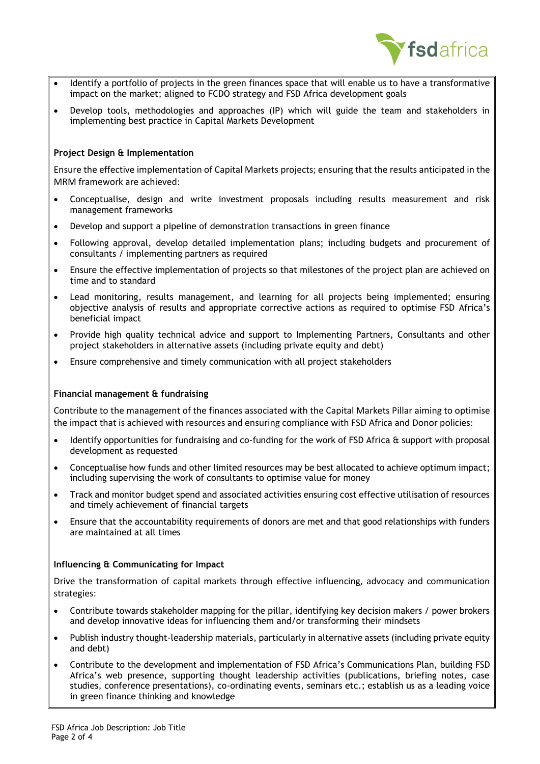

- Identify a portfolio of projects in the green finances space that will enable us to have a transformative impact on the market; aligned to FCDO strategy and FSD Africa development goals
- Develop tools, methodologies and approaches (IP) which will guide the team and stakeholders in implementing best practice in Capital Markets Development

## **Project Design & Implementation**

Ensure the effective implementation of Capital Markets projects; ensuring that the results anticipated in the MRM framework are achieved:

- Conceptualise, design and write investment proposals including results measurement and risk management frameworks
- Develop and support a pipeline of demonstration transactions in green finance
- Following approval, develop detailed implementation plans; including budgets and procurement of consultants / implementing partners as required
- Ensure the effective implementation of projects so that milestones of the project plan are achieved on time and to standard
- Lead monitoring, results management, and learning for all projects being implemented; ensuring objective analysis of results and appropriate corrective actions as required to optimise FSD Africa's beneficial impact
- Provide high quality technical advice and support to Implementing Partners, Consultants and other project stakeholders in alternative assets (including private equity and debt)
- Ensure comprehensive and timely communication with all project stakeholders

## **Financial management & fundraising**

Contribute to the management of the finances associated with the Capital Markets Pillar aiming to optimise the impact that is achieved with resources and ensuring compliance with FSD Africa and Donor policies:

- Identify opportunities for fundraising and co-funding for the work of FSD Africa & support with proposal development as requested
- Conceptualise how funds and other limited resources may be best allocated to achieve optimum impact; including supervising the work of consultants to optimise value for money
- Track and monitor budget spend and associated activities ensuring cost effective utilisation of resources and timely achievement of financial targets
- Ensure that the accountability requirements of donors are met and that good relationships with funders are maintained at all times

## **Influencing & Communicating for Impact**

Drive the transformation of capital markets through effective influencing, advocacy and communication strategies:

- Contribute towards stakeholder mapping for the pillar, identifying key decision makers / power brokers and develop innovative ideas for influencing them and/or transforming their mindsets
- Publish industry thought-leadership materials, particularly in alternative assets (including private equity and debt)
- Contribute to the development and implementation of FSD Africa's Communications Plan, building FSD Africa's web presence, supporting thought leadership activities (publications, briefing notes, case studies, conference presentations), co-ordinating events, seminars etc.; establish us as a leading voice in green finance thinking and knowledge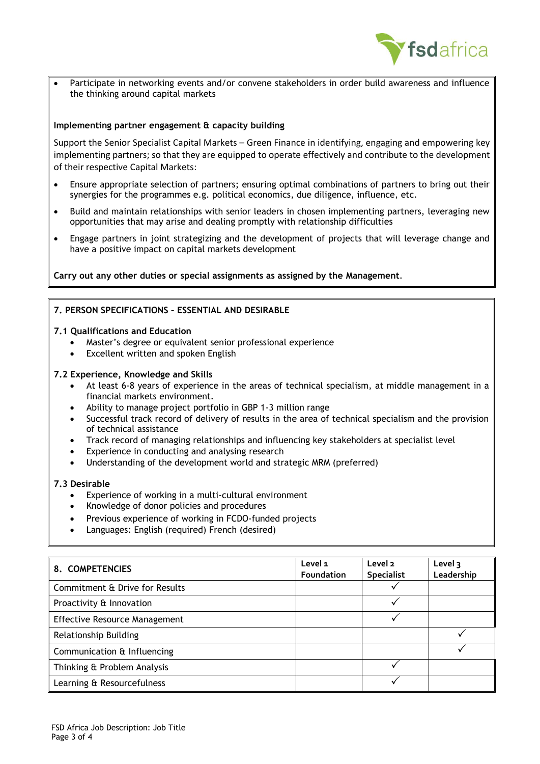

• Participate in networking events and/or convene stakeholders in order build awareness and influence the thinking around capital markets

#### **Implementing partner engagement & capacity building**

Support the Senior Specialist Capital Markets – Green Finance in identifying, engaging and empowering key implementing partners; so that they are equipped to operate effectively and contribute to the development of their respective Capital Markets:

- Ensure appropriate selection of partners; ensuring optimal combinations of partners to bring out their synergies for the programmes e.g. political economics, due diligence, influence, etc.
- Build and maintain relationships with senior leaders in chosen implementing partners, leveraging new opportunities that may arise and dealing promptly with relationship difficulties
- Engage partners in joint strategizing and the development of projects that will leverage change and have a positive impact on capital markets development

**Carry out any other duties or special assignments as assigned by the Management**.

#### **7. PERSON SPECIFICATIONS – ESSENTIAL AND DESIRABLE**

#### **7.1 Qualifications and Education**

- Master's degree or equivalent senior professional experience
- Excellent written and spoken English

#### **7.2 Experience, Knowledge and Skills**

- At least 6-8 years of experience in the areas of technical specialism, at middle management in a financial markets environment.
- Ability to manage project portfolio in GBP 1-3 million range
- Successful track record of delivery of results in the area of technical specialism and the provision of technical assistance
- Track record of managing relationships and influencing key stakeholders at specialist level
- Experience in conducting and analysing research
- Understanding of the development world and strategic MRM (preferred)

#### **7.3 Desirable**

- Experience of working in a multi-cultural environment
- Knowledge of donor policies and procedures
- Previous experience of working in FCDO-funded projects
- Languages: English (required) French (desired)

| 8. COMPETENCIES                      | Level 1<br>Foundation | Level 2<br><b>Specialist</b> | Level 3<br>Leadership |
|--------------------------------------|-----------------------|------------------------------|-----------------------|
| Commitment & Drive for Results       |                       |                              |                       |
| Proactivity & Innovation             |                       |                              |                       |
| <b>Effective Resource Management</b> |                       |                              |                       |
| <b>Relationship Building</b>         |                       |                              |                       |
| Communication & Influencing          |                       |                              |                       |
| Thinking & Problem Analysis          |                       |                              |                       |
| Learning & Resourcefulness           |                       |                              |                       |